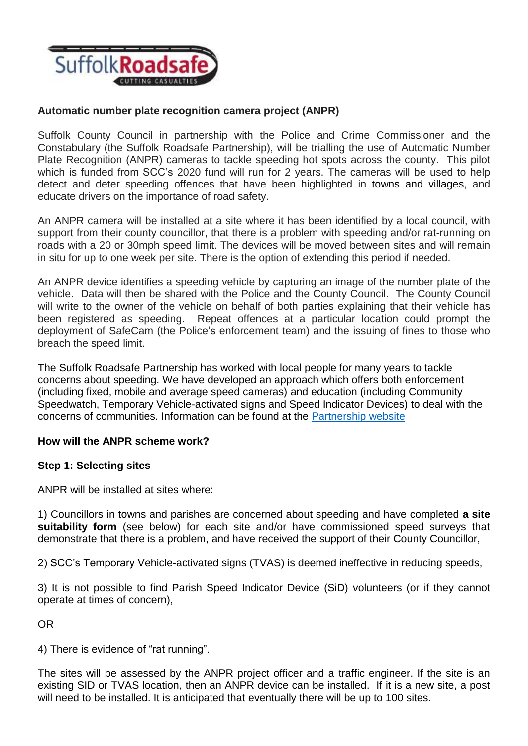

### **Automatic number plate recognition camera project (ANPR)**

Suffolk County Council in partnership with the Police and Crime Commissioner and the Constabulary (the Suffolk Roadsafe Partnership), will be trialling the use of Automatic Number Plate Recognition (ANPR) cameras to tackle speeding hot spots across the county. This pilot which is funded from SCC's 2020 fund will run for 2 years. The cameras will be used to help detect and deter speeding offences that have been highlighted in towns and villages, and educate drivers on the importance of road safety.

An ANPR camera will be installed at a site where it has been identified by a local council, with support from their county councillor, that there is a problem with speeding and/or rat-running on roads with a 20 or 30mph speed limit. The devices will be moved between sites and will remain in situ for up to one week per site. There is the option of extending this period if needed.

An ANPR device identifies a speeding vehicle by capturing an image of the number plate of the vehicle. Data will then be shared with the Police and the County Council. The County Council will write to the owner of the vehicle on behalf of both parties explaining that their vehicle has been registered as speeding. Repeat offences at a particular location could prompt the deployment of SafeCam (the Police's enforcement team) and the issuing of fines to those who breach the speed limit.

The Suffolk Roadsafe Partnership has worked with local people for many years to tackle concerns about speeding. We have developed an approach which offers both enforcement (including fixed, mobile and average speed cameras) and education (including Community Speedwatch, Temporary Vehicle-activated signs and Speed Indicator Devices) to deal with the concerns of communities. Information can be found at the [Partnership website](https://www.suffolkroadsafe.com/)

#### **How will the ANPR scheme work?**

#### **Step 1: Selecting sites**

ANPR will be installed at sites where:

1) Councillors in towns and parishes are concerned about speeding and have completed **a site suitability form** (see below) for each site and/or have commissioned speed surveys that demonstrate that there is a problem, and have received the support of their County Councillor,

2) SCC's Temporary Vehicle-activated signs (TVAS) is deemed ineffective in reducing speeds,

3) It is not possible to find Parish Speed Indicator Device (SiD) volunteers (or if they cannot operate at times of concern),

OR

4) There is evidence of "rat running".

The sites will be assessed by the ANPR project officer and a traffic engineer. If the site is an existing SID or TVAS location, then an ANPR device can be installed. If it is a new site, a post will need to be installed. It is anticipated that eventually there will be up to 100 sites.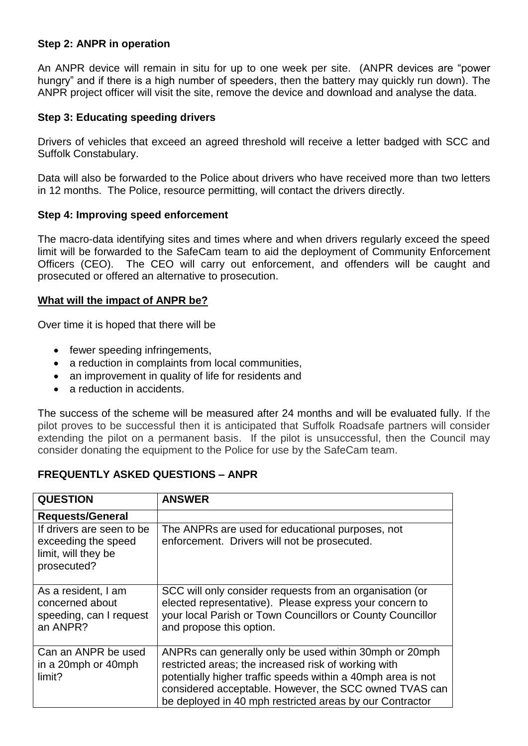#### **Step 2: ANPR in operation**

An ANPR device will remain in situ for up to one week per site. (ANPR devices are "power hungry" and if there is a high number of speeders, then the battery may quickly run down). The ANPR project officer will visit the site, remove the device and download and analyse the data.

#### **Step 3: Educating speeding drivers**

Drivers of vehicles that exceed an agreed threshold will receive a letter badged with SCC and Suffolk Constabulary.

Data will also be forwarded to the Police about drivers who have received more than two letters in 12 months. The Police, resource permitting, will contact the drivers directly.

#### **Step 4: Improving speed enforcement**

The macro-data identifying sites and times where and when drivers regularly exceed the speed limit will be forwarded to the SafeCam team to aid the deployment of Community Enforcement Officers (CEO). The CEO will carry out enforcement, and offenders will be caught and prosecuted or offered an alternative to prosecution.

#### **What will the impact of ANPR be?**

Over time it is hoped that there will be

- fewer speeding infringements,
- a reduction in complaints from local communities,
- an improvement in quality of life for residents and
- a reduction in accidents.

The success of the scheme will be measured after 24 months and will be evaluated fully. If the pilot proves to be successful then it is anticipated that Suffolk Roadsafe partners will consider extending the pilot on a permanent basis. If the pilot is unsuccessful, then the Council may consider donating the equipment to the Police for use by the SafeCam team.

## **FREQUENTLY ASKED QUESTIONS – ANPR**

| <b>QUESTION</b>                                                                        | <b>ANSWER</b>                                                                                                                                                                                                                                                                                        |
|----------------------------------------------------------------------------------------|------------------------------------------------------------------------------------------------------------------------------------------------------------------------------------------------------------------------------------------------------------------------------------------------------|
| <b>Requests/General</b>                                                                |                                                                                                                                                                                                                                                                                                      |
| If drivers are seen to be<br>exceeding the speed<br>limit, will they be<br>prosecuted? | The ANPRs are used for educational purposes, not<br>enforcement. Drivers will not be prosecuted.                                                                                                                                                                                                     |
| As a resident, I am<br>concerned about<br>speeding, can I request<br>an ANPR?          | SCC will only consider requests from an organisation (or<br>elected representative). Please express your concern to<br>your local Parish or Town Councillors or County Councillor<br>and propose this option.                                                                                        |
| Can an ANPR be used<br>in a 20mph or 40mph<br>limit?                                   | ANPRs can generally only be used within 30mph or 20mph<br>restricted areas; the increased risk of working with<br>potentially higher traffic speeds within a 40mph area is not<br>considered acceptable. However, the SCC owned TVAS can<br>be deployed in 40 mph restricted areas by our Contractor |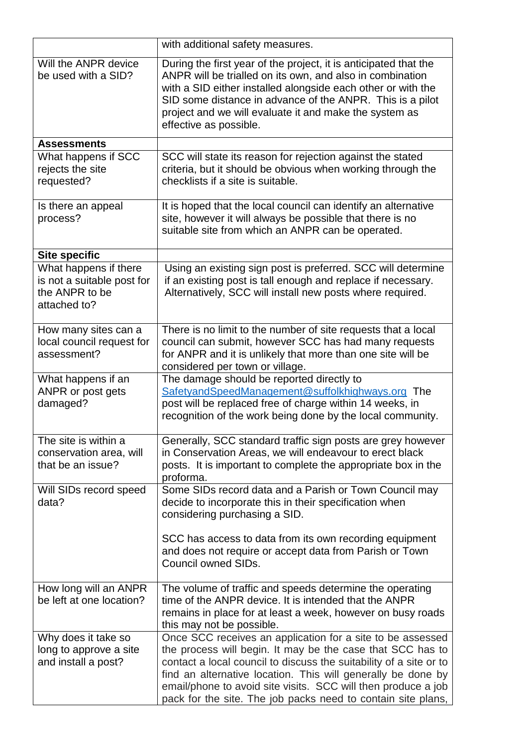|                                                                                       | with additional safety measures.                                                                                                                                                                                                                                                                                                                                                                |
|---------------------------------------------------------------------------------------|-------------------------------------------------------------------------------------------------------------------------------------------------------------------------------------------------------------------------------------------------------------------------------------------------------------------------------------------------------------------------------------------------|
| Will the ANPR device<br>be used with a SID?                                           | During the first year of the project, it is anticipated that the<br>ANPR will be trialled on its own, and also in combination<br>with a SID either installed alongside each other or with the<br>SID some distance in advance of the ANPR. This is a pilot<br>project and we will evaluate it and make the system as<br>effective as possible.                                                  |
| <b>Assessments</b>                                                                    |                                                                                                                                                                                                                                                                                                                                                                                                 |
| What happens if SCC<br>rejects the site<br>requested?                                 | SCC will state its reason for rejection against the stated<br>criteria, but it should be obvious when working through the<br>checklists if a site is suitable.                                                                                                                                                                                                                                  |
| Is there an appeal<br>process?                                                        | It is hoped that the local council can identify an alternative<br>site, however it will always be possible that there is no<br>suitable site from which an ANPR can be operated.                                                                                                                                                                                                                |
| <b>Site specific</b>                                                                  |                                                                                                                                                                                                                                                                                                                                                                                                 |
| What happens if there<br>is not a suitable post for<br>the ANPR to be<br>attached to? | Using an existing sign post is preferred. SCC will determine<br>if an existing post is tall enough and replace if necessary.<br>Alternatively, SCC will install new posts where required.                                                                                                                                                                                                       |
| How many sites can a<br>local council request for<br>assessment?                      | There is no limit to the number of site requests that a local<br>council can submit, however SCC has had many requests<br>for ANPR and it is unlikely that more than one site will be<br>considered per town or village.                                                                                                                                                                        |
| What happens if an<br>ANPR or post gets<br>damaged?                                   | The damage should be reported directly to<br>SafetyandSpeedManagement@suffolkhighways.org The<br>post will be replaced free of charge within 14 weeks, in<br>recognition of the work being done by the local community.                                                                                                                                                                         |
| The site is within a<br>conservation area, will<br>that be an issue?                  | Generally, SCC standard traffic sign posts are grey however<br>in Conservation Areas, we will endeavour to erect black<br>posts. It is important to complete the appropriate box in the<br>proforma.                                                                                                                                                                                            |
| Will SIDs record speed<br>data?                                                       | Some SIDs record data and a Parish or Town Council may<br>decide to incorporate this in their specification when<br>considering purchasing a SID.                                                                                                                                                                                                                                               |
|                                                                                       | SCC has access to data from its own recording equipment<br>and does not require or accept data from Parish or Town<br><b>Council owned SIDs.</b>                                                                                                                                                                                                                                                |
| How long will an ANPR<br>be left at one location?                                     | The volume of traffic and speeds determine the operating<br>time of the ANPR device. It is intended that the ANPR<br>remains in place for at least a week, however on busy roads<br>this may not be possible.                                                                                                                                                                                   |
| Why does it take so<br>long to approve a site<br>and install a post?                  | Once SCC receives an application for a site to be assessed<br>the process will begin. It may be the case that SCC has to<br>contact a local council to discuss the suitability of a site or to<br>find an alternative location. This will generally be done by<br>email/phone to avoid site visits. SCC will then produce a job<br>pack for the site. The job packs need to contain site plans, |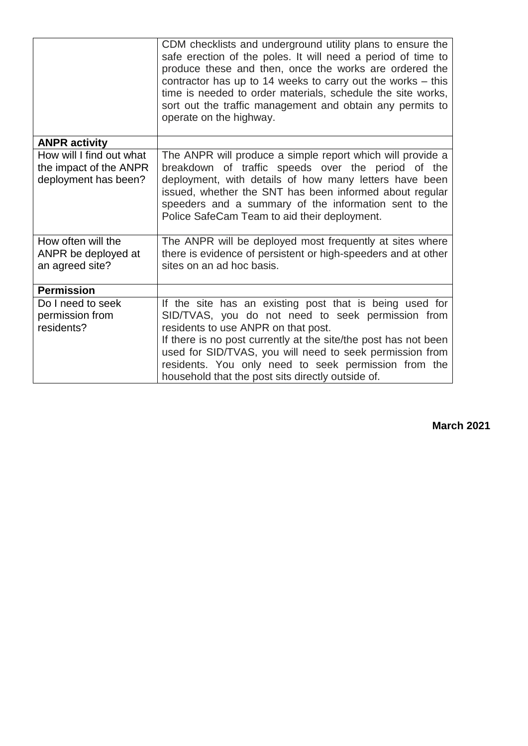|                                                                            | CDM checklists and underground utility plans to ensure the<br>safe erection of the poles. It will need a period of time to<br>produce these and then, once the works are ordered the<br>contractor has up to 14 weeks to carry out the works $-$ this<br>time is needed to order materials, schedule the site works,<br>sort out the traffic management and obtain any permits to<br>operate on the highway. |
|----------------------------------------------------------------------------|--------------------------------------------------------------------------------------------------------------------------------------------------------------------------------------------------------------------------------------------------------------------------------------------------------------------------------------------------------------------------------------------------------------|
|                                                                            |                                                                                                                                                                                                                                                                                                                                                                                                              |
| <b>ANPR activity</b>                                                       |                                                                                                                                                                                                                                                                                                                                                                                                              |
| How will I find out what<br>the impact of the ANPR<br>deployment has been? | The ANPR will produce a simple report which will provide a<br>breakdown of traffic speeds over the period of the<br>deployment, with details of how many letters have been<br>issued, whether the SNT has been informed about regular<br>speeders and a summary of the information sent to the<br>Police SafeCam Team to aid their deployment.                                                               |
| How often will the                                                         | The ANPR will be deployed most frequently at sites where                                                                                                                                                                                                                                                                                                                                                     |
| ANPR be deployed at                                                        | there is evidence of persistent or high-speeders and at other                                                                                                                                                                                                                                                                                                                                                |
| an agreed site?                                                            | sites on an ad hoc basis.                                                                                                                                                                                                                                                                                                                                                                                    |
| <b>Permission</b>                                                          |                                                                                                                                                                                                                                                                                                                                                                                                              |
| Do I need to seek                                                          | If the site has an existing post that is being used for                                                                                                                                                                                                                                                                                                                                                      |
| permission from                                                            | SID/TVAS, you do not need to seek permission from                                                                                                                                                                                                                                                                                                                                                            |
| residents?                                                                 | residents to use ANPR on that post.                                                                                                                                                                                                                                                                                                                                                                          |
|                                                                            | If there is no post currently at the site/the post has not been                                                                                                                                                                                                                                                                                                                                              |
|                                                                            | used for SID/TVAS, you will need to seek permission from<br>residents. You only need to seek permission from the                                                                                                                                                                                                                                                                                             |
|                                                                            | household that the post sits directly outside of.                                                                                                                                                                                                                                                                                                                                                            |

**March 2021**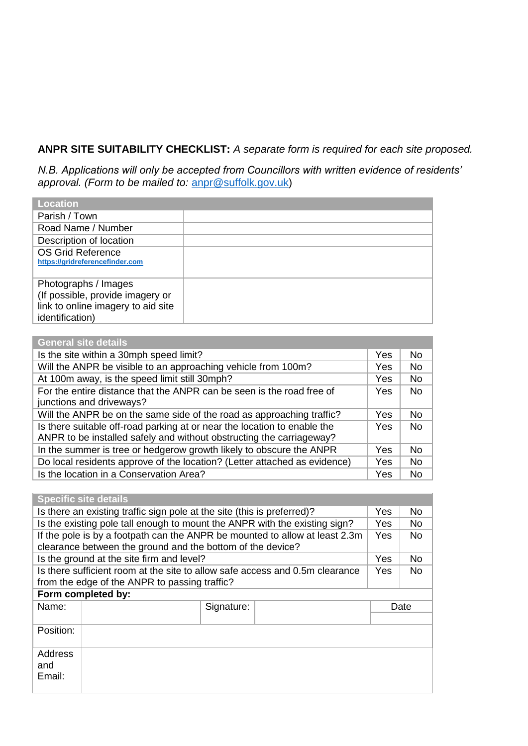# **ANPR SITE SUITABILITY CHECKLIST:** *A separate form is required for each site proposed.*

*N.B. Applications will only be accepted from Councillors with written evidence of residents' approval. (Form to be mailed to:* [anpr@suffolk.gov.uk\)](mailto:anpr@suffolk.gov.uk)

| <b>Location</b>                                                                                                   |  |
|-------------------------------------------------------------------------------------------------------------------|--|
| Parish / Town                                                                                                     |  |
| Road Name / Number                                                                                                |  |
| Description of location                                                                                           |  |
| OS Grid Reference<br>https://gridreferencefinder.com                                                              |  |
| Photographs / Images<br>(If possible, provide imagery or<br>link to online imagery to aid site<br>identification) |  |

| <b>General site details</b>                                                                                                                      |            |           |
|--------------------------------------------------------------------------------------------------------------------------------------------------|------------|-----------|
| Is the site within a 30mph speed limit?                                                                                                          | <b>Yes</b> | No.       |
| Will the ANPR be visible to an approaching vehicle from 100m?                                                                                    | <b>Yes</b> | <b>No</b> |
| At 100m away, is the speed limit still 30mph?                                                                                                    | Yes        | <b>No</b> |
| For the entire distance that the ANPR can be seen is the road free of<br>junctions and driveways?                                                | Yes        | <b>No</b> |
| Will the ANPR be on the same side of the road as approaching traffic?                                                                            | Yes        | <b>No</b> |
| Is there suitable off-road parking at or near the location to enable the<br>ANPR to be installed safely and without obstructing the carriageway? | <b>Yes</b> | <b>No</b> |
| In the summer is tree or hedgerow growth likely to obscure the ANPR                                                                              | Yes        | <b>No</b> |
| Do local residents approve of the location? (Letter attached as evidence)                                                                        | Yes        | <b>No</b> |
| Is the location in a Conservation Area?                                                                                                          | Yes        | <b>No</b> |

|                                                                                                                                           | <b>Specific site details</b>                                            |            |      |           |
|-------------------------------------------------------------------------------------------------------------------------------------------|-------------------------------------------------------------------------|------------|------|-----------|
|                                                                                                                                           | Is there an existing traffic sign pole at the site (this is preferred)? |            |      | No.       |
| Is the existing pole tall enough to mount the ANPR with the existing sign?                                                                |                                                                         |            | Yes  | No.       |
| If the pole is by a footpath can the ANPR be mounted to allow at least 2.3m<br>clearance between the ground and the bottom of the device? |                                                                         |            | Yes  | <b>No</b> |
| Is the ground at the site firm and level?                                                                                                 |                                                                         |            | Yes  | No.       |
| Is there sufficient room at the site to allow safe access and 0.5m clearance<br>from the edge of the ANPR to passing traffic?             |                                                                         |            | Yes  | No        |
| Form completed by:                                                                                                                        |                                                                         |            |      |           |
| Name:                                                                                                                                     |                                                                         | Signature: | Date |           |
|                                                                                                                                           |                                                                         |            |      |           |
| Position:                                                                                                                                 |                                                                         |            |      |           |
| Address<br>and<br>Email:                                                                                                                  |                                                                         |            |      |           |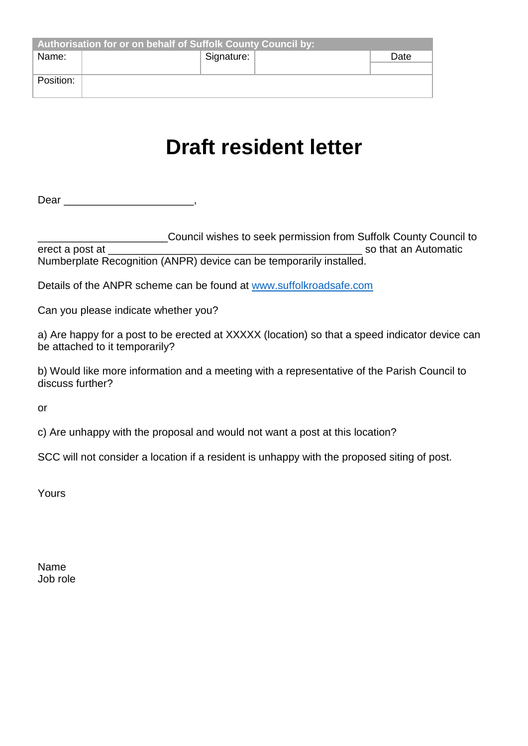| Authorisation for or on behalf of Suffolk County Council by: |  |            |  |      |
|--------------------------------------------------------------|--|------------|--|------|
| Name:                                                        |  | Signature: |  | Date |
|                                                              |  |            |  |      |
| Position:                                                    |  |            |  |      |
|                                                              |  |            |  |      |

# **Draft resident letter**

Dear \_\_\_\_\_\_\_\_\_\_\_\_\_\_\_\_\_\_\_\_\_\_,

Let a post at Council wishes to seek permission from Suffolk County Council to<br>so that an Automatic so that an Automatic Numberplate Recognition (ANPR) device can be temporarily installed.

Details of the ANPR scheme can be found at [www.suffolkroadsafe.com](about:blank)

Can you please indicate whether you?

a) Are happy for a post to be erected at XXXXX (location) so that a speed indicator device can be attached to it temporarily?

b) Would like more information and a meeting with a representative of the Parish Council to discuss further?

or

c) Are unhappy with the proposal and would not want a post at this location?

SCC will not consider a location if a resident is unhappy with the proposed siting of post.

Yours

Name Job role